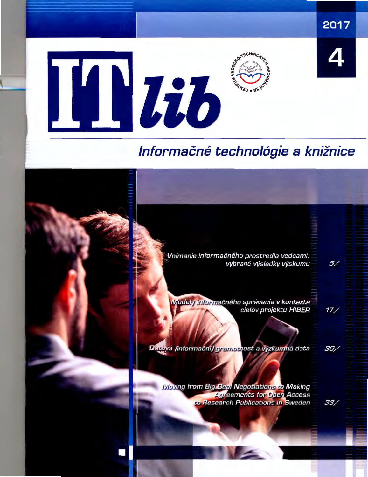

# Informačné technológie a knižnice

Vnímanie informačného prostredia vedcami: vybrané výsledky výskumu

Vlodely informačného správania v kontexte cieľov projektu HIBER

Darová (informační) gramotnost a výzkumná data

30/

 $17/$ 

 $5/$ 

**Woying from Big Deal Negotiations to Making Agreements for Open Access a Research Publications in Sweden** 

33/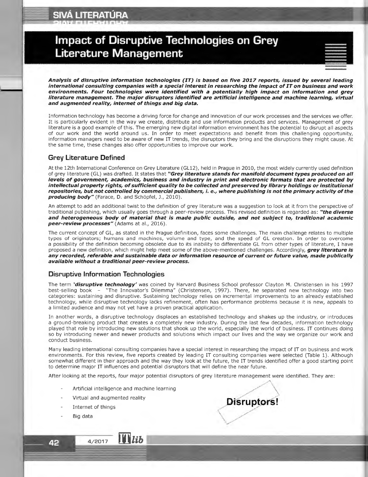## **Impact of Disruptive Technologies on Grey Literature Management**

|  | × |  |
|--|---|--|
|  |   |  |
|  |   |  |

**Analysis of disruptive information technologies (IT) is based on five 2017 reports, issued by several leading international consulting companies with a special interest in researching the impact of IT on business and work environments. Four technologies were identified with a potentially high impact on information and grey literature management. The major disruptors identified are artificial intelligence and machine learning, virtual and augmented reality, internet of things and big data.** 

Information technology has become a driving force for change and innovation of our work processes and the services we offer. It is particularly evident in the way we create, distribute and use information products and services. Management of grey literature is a good example of this. The emerging new digital information environment has the potential to disrupt all aspects of our work and the world around us . In order to meet expectations and benefit from this challenging opportunity, information managers need to be aware of new IT trends, the disruptors they bring and the disruptions they might cause. At the same time, these changes also offer opportunities to improve our work.

## **Grey Literature Defined**

At the 12th International Conference on Grey Literature (GL12), held in Prague in 2010, the most widely currently used definition of grey literature (GL) was drafted. It states that **"Grey literature stands for manifold document types produced on all levels of government, academics, business and industry in print and electronic formats that are protected by intellectual property rights, of sufficient quality to be collected and preserved by library holdings or institutional repositories, but not controlled by commercial publishers, i. e., where publishing is not the primary activity of the producing body"** (Farace, D. and Schöpfel, J., 2010).

An attempt to add an additional twist to the definition of grey literature was a suggestion to look at it from the perspective of traditional publishing, which usually goes through a peer-review process. This revised definition is regarded as: "the diverse **and heterogeneous body of material that is made public outside, and not subject to, traditional academic peer-review processes"** (Adams at al., 2016).

The current concept of GL, as stated in the Prague definition, faces some challenges. The main challenge relates to multiple types of originators; humans and machines, volume and type, and the speed of GL creation. In order to overcome a possibility of the definition becoming obsolete due to its inability to differentiate GL from other types of literature, I have proposed a new definition, which might help meet some of the above-mentioned challenges. Accordingly, **grey literature is any recorded, referable and sustainable data or information resource of current or future value, made publically available without a traditional peer-review process.** 

## **Disruptive Information Technologies**

The term **'disruptive technology'** was coined by Harvard Business School professor Clayton M. Christensen in his 1997 best-selling book - "The Innovator's Dilemma" (Christensen, 1997). There, he separated new technology into two categories: sustaining and disruptive. Sustaining technology relies on incremental improvements to an already established technology, while disruptive technology lacks refinement, often has performance problems because it is new, appeals to a limited audience and may not yet have a proven practical application.

In another words , a disruptive technology displaces an established technology and shakes up the industry, or introduces a ground-breaking product that creates a completely new industry. During the last few decades, information technology played that role by introducing new solutions that shook up the world, especially the world of business. IT continues doing so by introducing newer and newer products and solutions which impact our lives and the way we organize our work and conduct business.

Many leading international consulting companies have a special interest in researching the impact of IT on business and work environments. For this review, five reports created by leading IT consulting companies were selected (Table 1). Although somewhat different in their approach and the way they look at the future, the IT trends identified offer a good starting point to determine major IT influences and potential disruptors that will define the near future.

After looking at the reports, four major potential disruptors of grey literature management were identified. They are:

Artificial intelligence and machine learning

 $\prod$   $\overline{Lib}$ 

Virtual and augmented reality

4/2017

- Internet of things
- Big data

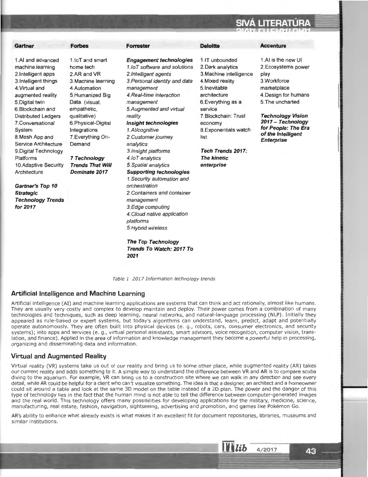| Gartner                                                                                                                                                                                                                                                                                                                                                                                                                                                  | <b>Forbes</b>                                                                                                                                                                                                                                                                                     | <b>Forrester</b>                                                                                                                                                                                                                                                                                                                                                                                                                                                                                                                                                                              | <b>Deloitte</b>                                                                                                                                                                                                                                                                   | <b>Accenture</b>                                                                                                                                                                                                                                |
|----------------------------------------------------------------------------------------------------------------------------------------------------------------------------------------------------------------------------------------------------------------------------------------------------------------------------------------------------------------------------------------------------------------------------------------------------------|---------------------------------------------------------------------------------------------------------------------------------------------------------------------------------------------------------------------------------------------------------------------------------------------------|-----------------------------------------------------------------------------------------------------------------------------------------------------------------------------------------------------------------------------------------------------------------------------------------------------------------------------------------------------------------------------------------------------------------------------------------------------------------------------------------------------------------------------------------------------------------------------------------------|-----------------------------------------------------------------------------------------------------------------------------------------------------------------------------------------------------------------------------------------------------------------------------------|-------------------------------------------------------------------------------------------------------------------------------------------------------------------------------------------------------------------------------------------------|
| 1.AI and advanced<br>machine learning<br>2. Intelligent apps<br>3. Intelligent things<br>4. Virtual and<br>augmented reality<br>5. Digital twin<br>6. Blockchain and<br><b>Distributed Ledgers</b><br>7.Conversational<br>System<br>8. Mesh App and<br><b>Service Architecture</b><br>9. Digital Technology<br>Platforms<br>10. Adaptive Security<br>Architecture<br><b>Gartner's Top 10</b><br><b>Strategic</b><br><b>Technology Trends</b><br>for 2017 | 1. IoT and smart<br>home tech<br>2.AR and VR<br>3. Machine learning<br>4. Automation<br>5.Humanized Big<br>Data. (visual,<br>empathetic,<br>qualitative)<br>6. Physical-Digital<br>Integrations<br>7. Everything On-<br>Demand<br><b>7 Technology</b><br><b>Trends That Will</b><br>Dominate 2017 | <b>Engagement technologies</b><br>1.1oT software and solutions<br>2. Intelligent agents<br>3. Personal identity and data<br>management<br>4. Real-time interaction<br>management<br>5. Augmented and virtual<br>reality<br>Insight technologies<br>1.Al/cognitive<br>2. Customer journey<br>analytics<br>3. Insight platforms<br>4.IoT analytics<br>5. Spatial analytics<br><b>Supporting technologies</b><br>1. Security automation and<br>orchestration<br>2. Containers and container<br>management<br>3. Edge computing<br>4. Cloud native application<br>platforms<br>5. Hybrid wireless | 1. IT unbounded<br>2. Dark analytics<br>3. Machine intelligence<br>4. Mixed reality<br>5. Inevitable<br>architecture<br>6. Everything as a<br>service<br>7 Blockchain: Trust<br>economy<br>8. Exponentials watch<br>list<br>Tech Trends 2017:<br><b>The kinetic</b><br>enterprise | 1.AI is the new UI<br>2. Ecosystems power<br>play<br>3. Workforce<br>marketplace<br>4. Design for humans<br>5. The uncharted<br><b>Technology Vision</b><br>2017 - Technology<br>for People: The Era<br>of the Intelligent<br><b>Enterprise</b> |

**The Top Technology Trends To Watch: 2017 To 2021** 

Artificial intelligence (AI) and machine learning applications are systems that can think and act rationally, almost like humans. They are usually very costly and complex to develop maintain and deploy. Their power comes from a combination of many technologies and techniques, such as deep learning, neural networks, and natural-language processing (NLP). Initially they appeared as rule-based or expert systems, but today's algorithms can understand, learn, predict, adapt and potentially operate autonomously. They are often built into physical devices (e. g., robots, cars, consumer electronics, and security systems); into apps and services (e.g., virtual personal assistants, smart advisors, voice recognition, computer vision, translation, and finance). Applied in the area of information and knowledge management they become a powerful help in processing, organizing and disseminating data and information.

Table 1 2017 Information technology trends

## **Virtual and Augmented Reality**

**Artificial Intelligence and Machine Learning** 

Virtual reality (VR) systems take us out of our reality and bring us to some other place, while augmented reality (AR) takes our current reality and adds something to it. A simple way to understand the difference between VR and AR is to compare scuba diving to the aquarium. For example, VR can bring us to a construction site where we can walk in any direction and see every detail, while AR could be helpful for a client who can't visualize something. The idea is that a designer, an architect and a homeowner could sit around a table and look at the same 3D model on the table instead of a 2D plan. The power and the danger of this type of technology lies in the fact that the human mind is not able to tell the difference between computer-generated images and the real world. This technology offers many possibilities for developing applications for the military, medicine, science, manufacturing, real estate, fashion, navigation, sightseeing, advertising and promotion, and games like Pokémon Go.

AR's ability to enhance what already exists is what makes it an excellent fit for document repositories, libraries, museums and similar institutions.

 $\mathbf{H}$ lib

 $4/2017$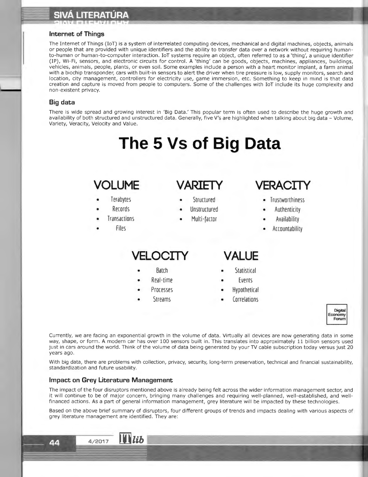# == **SIVA LITERATURA**

<sup>~</sup> , and the second control of the second control of the second control of the second control of the second control of  $\mathcal{C}$ 

## **Internet of Things**

The Internet of Things (IoT) is a system of interrelated computing devices, mechanical and digital machines, objects, animals or people that are provided with unique identifiers and the ability to transfer data over a network without requiring humanto-human or human-to-computer interaction. IoT systems require an object, often referred to as a 'thing', a unique identifier (IP), Wi-Fi , sensors, and electronic circuits for control. A 'thing' can be goods , objects, machines, appliances, buildings, vehicles, animals, people, plants, or even soil. Some examples include a person with a heart monitor implant, a farm animal with a biochip transponder, cars with built-in sensors to alert the driver when tire pressure is low, supply monitors, search and location, city management, controllers for electricity use, game immersion, etc. Something to keep in mind is that data creation and capture is moved from people to computers. Some of the challenges with IoT include its huge complexity and non-existent privacy.

## **Big data**

There is wide spread and growing interest in 'Big Data .' This popular term is often used to describe the huge growth and availability of both structured and unstructured data. Generally, five V's are highlighted when talking about big data - Volume, Variety, Veracity, Velocity and Value.

# **The 5 Vs of Big Data**

## **VOLUME VARIETY VERACITY**

- 
- 
- 
- 

- Terabytes Structured Trustworthiness
- Records Unstructured Authenticity
- Transactions Multi-factor Availability
	- Accountability

## **VELOCITY VALUE**

- 
- 
- 
- 

- Batch Statistical
- **Real-time •** Events
- Processes Hypothetical
- Streams Correlations



Currently, we are facing an exponential growth in the volume of data . Virtually all devices are now generating data in some way, shape, or form . **A** modern car has over 100 sensors built in. This translates into approximately 11 billion sensors used just in cars around the world. Think of the volume of data being generated by your TV cable subscription today versus just 20 years ago.

With big data, there are problems with collection, privacy, security, long-term preservation, technical and financial sustainability, standardization and future usability.

### **Impact on Grey Literature Management**

The impact of the four disruptors mentioned above is already being felt across the wider information management sector, and it will continue to be of major concern, bringing many challenges and requiring well-planned, well-established, and wellfinanced actions . As a part of general information management, grey literature will be impacted by these technologies.

Based on the above brief summary of disruptors, four different groups of trends and impacts dealing with various aspects of grey literature management are identified. They are: